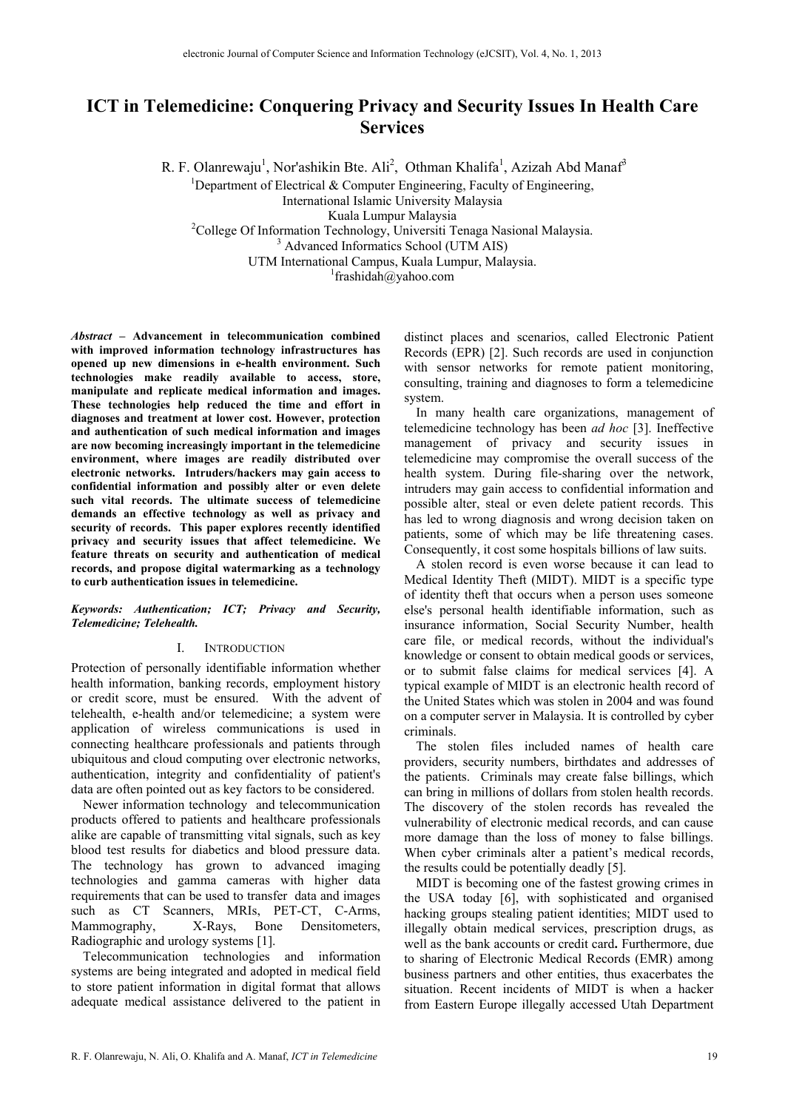# **ICT in Telemedicine: Conquering Privacy and Security Issues In Health Care Services**

R. F. Olanrewaju<sup>1</sup>, Nor'ashikin Bte. Ali<sup>2</sup>, Othman Khalifa<sup>1</sup>, Azizah Abd Manaf<sup>3</sup>

<sup>1</sup>Department of Electrical & Computer Engineering, Faculty of Engineering, International Islamic University Malaysia Kuala Lumpur Malaysia<br><sup>2</sup>Colloge Of Information Technology, Universiti Te College Of Information Technology, Universiti Tenaga Nasional Malaysia. Advanced Informatics School (UTM AIS) UTM International Campus, Kuala Lumpur, Malaysia. 1

<sup>1</sup>frashidah@yahoo.com

*Abstract –* **Advancement in telecommunication combined with improved information technology infrastructures has opened up new dimensions in e-health environment. Such technologies make readily available to access, store, manipulate and replicate medical information and images. These technologies help reduced the time and effort in diagnoses and treatment at lower cost. However, protection and authentication of such medical information and images are now becoming increasingly important in the telemedicine environment, where images are readily distributed over electronic networks. Intruders/hackers may gain access to confidential information and possibly alter or even delete such vital records. The ultimate success of telemedicine demands an effective technology as well as privacy and security of records. This paper explores recently identified privacy and security issues that affect telemedicine. We feature threats on security and authentication of medical records, and propose digital watermarking as a technology to curb authentication issues in telemedicine.** 

*Keywords: Authentication; ICT; Privacy and Security, Telemedicine; Telehealth.*

# I. INTRODUCTION

Protection of personally identifiable information whether health information, banking records, employment history or credit score, must be ensured. With the advent of telehealth, e-health and/or telemedicine; a system were application of wireless communications is used in connecting healthcare professionals and patients through ubiquitous and cloud computing over electronic networks, authentication, integrity and confidentiality of patient's data are often pointed out as key factors to be considered.

Newer information technology and telecommunication products offered to patients and healthcare professionals alike are capable of transmitting vital signals, such as key blood test results for diabetics and blood pressure data. The technology has grown to advanced imaging technologies and gamma cameras with higher data requirements that can be used to transfer data and images such as CT Scanners, MRIs, PET-CT, C-Arms, Mammography, X-Rays, Bone Densitometers, Radiographic and urology systems [1].

Telecommunication technologies and information systems are being integrated and adopted in medical field to store patient information in digital format that allows adequate medical assistance delivered to the patient in distinct places and scenarios, called Electronic Patient Records (EPR) [2]. Such records are used in conjunction with sensor networks for remote patient monitoring, consulting, training and diagnoses to form a telemedicine system.

In many health care organizations, management of telemedicine technology has been *ad hoc* [3]. Ineffective management of privacy and security issues in telemedicine may compromise the overall success of the health system. During file-sharing over the network, intruders may gain access to confidential information and possible alter, steal or even delete patient records. This has led to wrong diagnosis and wrong decision taken on patients, some of which may be life threatening cases. Consequently, it cost some hospitals billions of law suits.

A stolen record is even worse because it can lead to Medical Identity Theft (MIDT). MIDT is a specific type of identity theft that occurs when a person uses someone else's personal health identifiable information, such as insurance information, Social Security Number, health care file, or medical records, without the individual's knowledge or consent to obtain medical goods or services, or to submit false claims for medical services [4]. A typical example of MIDT is an electronic health record of the United States which was stolen in 2004 and was found on a computer server in Malaysia. It is controlled by cyber criminals.

The stolen files included names of health care providers, security numbers, birthdates and addresses of the patients. Criminals may create false billings, which can bring in millions of dollars from stolen health records. The discovery of the stolen records has revealed the vulnerability of electronic medical records, and can cause more damage than the loss of money to false billings. When cyber criminals alter a patient's medical records, the results could be potentially deadly [5].

MIDT is becoming one of the fastest growing crimes in the USA today [6], with sophisticated and organised hacking groups stealing patient identities; MIDT used to illegally obtain medical services, prescription drugs, as well as the bank accounts or credit card**.** Furthermore, due to sharing of Electronic Medical Records (EMR) among business partners and other entities, thus exacerbates the situation. Recent incidents of MIDT is when a hacker from Eastern Europe illegally accessed Utah Department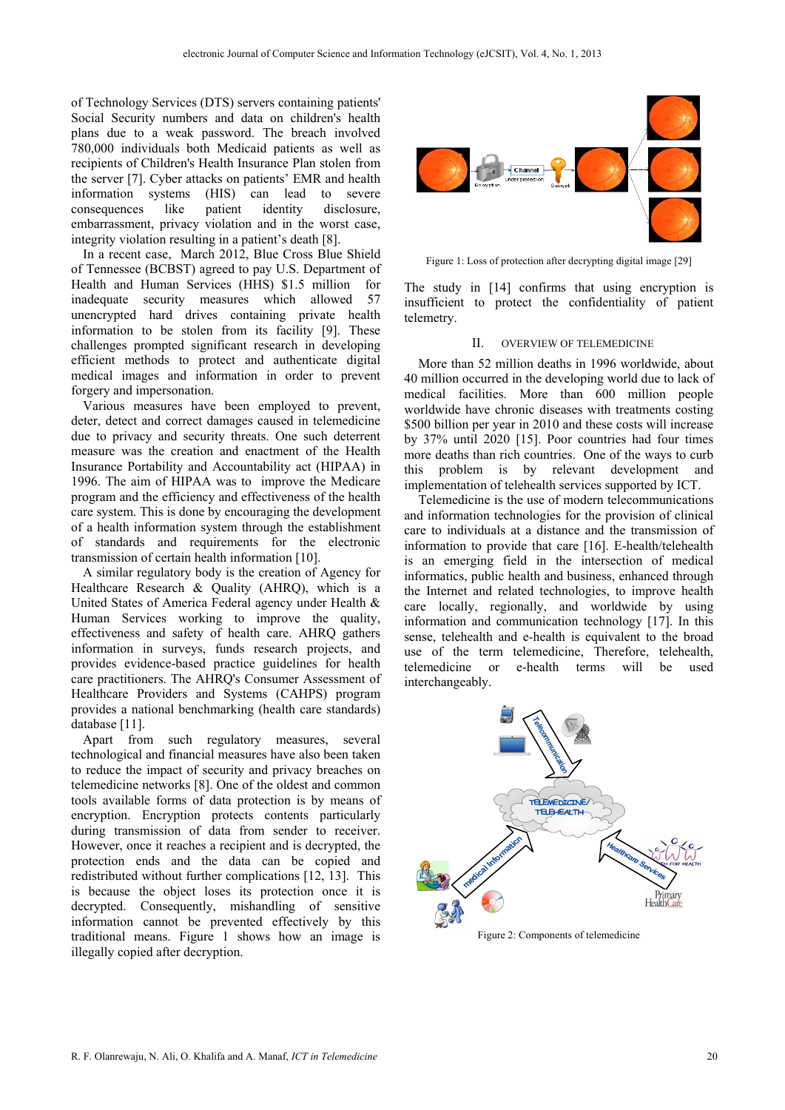of Technology Services (DTS) servers containing patients' Social Security numbers and data on children's health plans due to a weak password. The breach involved 780,000 individuals both Medicaid patients as well as recipients of Children's Health Insurance Plan stolen from the server [7]. Cyber attacks on patients' EMR and health information systems (HIS) can lead to severe consequences like patient identity disclosure, embarrassment, privacy violation and in the worst case, integrity violation resulting in a patient's death [8].

In a recent case, March 2012, Blue Cross Blue Shield of Tennessee (BCBST) agreed to pay U.S. Department of Health and Human Services (HHS) \$1.5 million for inadequate security measures which allowed 57 unencrypted hard drives containing private health information to be stolen from its facility [9]. These challenges prompted significant research in developing efficient methods to protect and authenticate digital medical images and information in order to prevent forgery and impersonation.

Various measures have been employed to prevent, deter, detect and correct damages caused in telemedicine due to privacy and security threats. One such deterrent measure was the creation and enactment of the Health Insurance Portability and Accountability act (HIPAA) in 1996. The aim of HIPAA was to improve the Medicare program and the efficiency and effectiveness of the health care system. This is done by encouraging the development of a health information system through the establishment of standards and requirements for the electronic transmission of certain health information [10].

A similar regulatory body is the creation of Agency for Healthcare Research & Quality (AHRQ), which is a United States of America Federal agency under Health & Human Services working to improve the quality, effectiveness and safety of health care. AHRQ gathers information in surveys, funds research projects, and provides evidence-based practice guidelines for health care practitioners. The AHRQ's Consumer Assessment of Healthcare Providers and Systems (CAHPS) program provides a national benchmarking (health care standards) database [11].

Apart from such regulatory measures, several technological and financial measures have also been taken to reduce the impact of security and privacy breaches on telemedicine networks [8]. One of the oldest and common tools available forms of data protection is by means of encryption. Encryption protects contents particularly during transmission of data from sender to receiver. However, once it reaches a recipient and is decrypted, the protection ends and the data can be copied and redistributed without further complications [12, 13]. This is because the object loses its protection once it is decrypted. Consequently, mishandling of sensitive information cannot be prevented effectively by this traditional means. Figure 1 shows how an image is illegally copied after decryption.



Figure 1: Loss of protection after decrypting digital image [29]

The study in [14] confirms that using encryption is insufficient to protect the confidentiality of patient telemetry.

#### II. OVERVIEW OF TELEMEDICINE

More than 52 million deaths in 1996 worldwide, about 40 million occurred in the developing world due to lack of medical facilities. More than 600 million people worldwide have chronic diseases with treatments costing \$500 billion per year in 2010 and these costs will increase by 37% until 2020 [15]. Poor countries had four times more deaths than rich countries. One of the ways to curb this problem is by relevant development and implementation of telehealth services supported by ICT.

Telemedicine is the use of modern telecommunications and information technologies for the provision of clinical care to individuals at a distance and the transmission of information to provide that care [16]. E-health/telehealth is an emerging field in the intersection of medical informatics, public health and business, enhanced through the Internet and related technologies, to improve health care locally, regionally, and worldwide by using information and communication technology [17]. In this sense, telehealth and e-health is equivalent to the broad use of the term telemedicine, Therefore, telehealth, telemedicine or e-health terms will be used interchangeably.

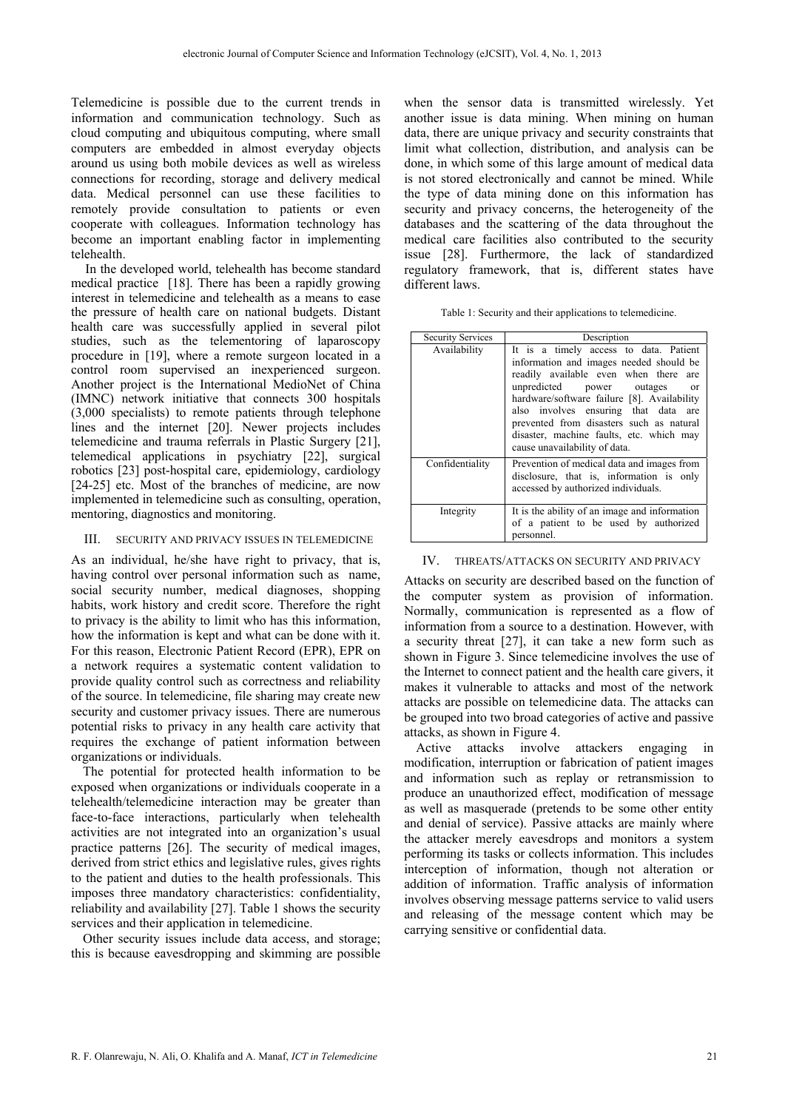Telemedicine is possible due to the current trends in information and communication technology. Such as cloud computing and ubiquitous computing, where small computers are embedded in almost everyday objects around us using both mobile devices as well as wireless connections for recording, storage and delivery medical data. Medical personnel can use these facilities to remotely provide consultation to patients or even cooperate with colleagues. Information technology has become an important enabling factor in implementing telehealth.

In the developed world, telehealth has become standard medical practice [18]. There has been a rapidly growing interest in telemedicine and telehealth as a means to ease the pressure of health care on national budgets. Distant health care was successfully applied in several pilot studies, such as the telementoring of laparoscopy procedure in [19], where a remote surgeon located in a control room supervised an inexperienced surgeon. Another project is the International MedioNet of China (IMNC) network initiative that connects 300 hospitals (3,000 specialists) to remote patients through telephone lines and the internet [20]. Newer projects includes telemedicine and trauma referrals in Plastic Surgery [21], telemedical applications in psychiatry [22], surgical robotics [23] post-hospital care, epidemiology, cardiology [24-25] etc. Most of the branches of medicine, are now implemented in telemedicine such as consulting, operation, mentoring, diagnostics and monitoring.

# III. SECURITY AND PRIVACY ISSUES IN TELEMEDICINE

As an individual, he/she have right to privacy, that is, having control over personal information such as name, social security number, medical diagnoses, shopping habits, work history and credit score. Therefore the right to privacy is the ability to limit who has this information, how the information is kept and what can be done with it. For this reason, Electronic Patient Record (EPR), EPR on a network requires a systematic content validation to provide quality control such as correctness and reliability of the source. In telemedicine, file sharing may create new security and customer privacy issues. There are numerous potential risks to privacy in any health care activity that requires the exchange of patient information between organizations or individuals.

The potential for protected health information to be exposed when organizations or individuals cooperate in a telehealth/telemedicine interaction may be greater than face-to-face interactions, particularly when telehealth activities are not integrated into an organization's usual practice patterns [26]. The security of medical images, derived from strict ethics and legislative rules, gives rights to the patient and duties to the health professionals. This imposes three mandatory characteristics: confidentiality, reliability and availability [27]. Table 1 shows the security services and their application in telemedicine.

Other security issues include data access, and storage; this is because eavesdropping and skimming are possible

when the sensor data is transmitted wirelessly. Yet another issue is data mining. When mining on human data, there are unique privacy and security constraints that limit what collection, distribution, and analysis can be done, in which some of this large amount of medical data is not stored electronically and cannot be mined. While the type of data mining done on this information has security and privacy concerns, the heterogeneity of the databases and the scattering of the data throughout the medical care facilities also contributed to the security issue [28]. Furthermore, the lack of standardized regulatory framework, that is, different states have different laws.

|  |  |  |  | Table 1: Security and their applications to telemedicine. |
|--|--|--|--|-----------------------------------------------------------|
|  |  |  |  |                                                           |

| <b>Security Services</b> | Description                                                                                                                                                                                                                                                                                                                                                                              |  |  |  |  |
|--------------------------|------------------------------------------------------------------------------------------------------------------------------------------------------------------------------------------------------------------------------------------------------------------------------------------------------------------------------------------------------------------------------------------|--|--|--|--|
| Availability             | It is a timely access to data. Patient<br>information and images needed should be<br>readily available even when there are<br>unpredicted power outages<br><sub>or</sub><br>hardware/software failure [8]. Availability<br>also involves ensuring that data are<br>prevented from disasters such as natural<br>disaster, machine faults, etc. which may<br>cause unavailability of data. |  |  |  |  |
| Confidentiality          | Prevention of medical data and images from<br>disclosure, that is, information is only<br>accessed by authorized individuals.                                                                                                                                                                                                                                                            |  |  |  |  |
| Integrity                | It is the ability of an image and information<br>of a patient to be used by authorized<br>personnel.                                                                                                                                                                                                                                                                                     |  |  |  |  |

## IV. THREATS/ATTACKS ON SECURITY AND PRIVACY

Attacks on security are described based on the function of the computer system as provision of information. Normally, communication is represented as a flow of information from a source to a destination. However, with a security threat [27], it can take a new form such as shown in Figure 3. Since telemedicine involves the use of the Internet to connect patient and the health care givers, it makes it vulnerable to attacks and most of the network attacks are possible on telemedicine data. The attacks can be grouped into two broad categories of active and passive attacks, as shown in Figure 4.

 Active attacks involve attackers engaging in modification, interruption or fabrication of patient images and information such as replay or retransmission to produce an unauthorized effect, modification of message as well as masquerade (pretends to be some other entity and denial of service). Passive attacks are mainly where the attacker merely eavesdrops and monitors a system performing its tasks or collects information. This includes interception of information, though not alteration or addition of information. Traffic analysis of information involves observing message patterns service to valid users and releasing of the message content which may be carrying sensitive or confidential data.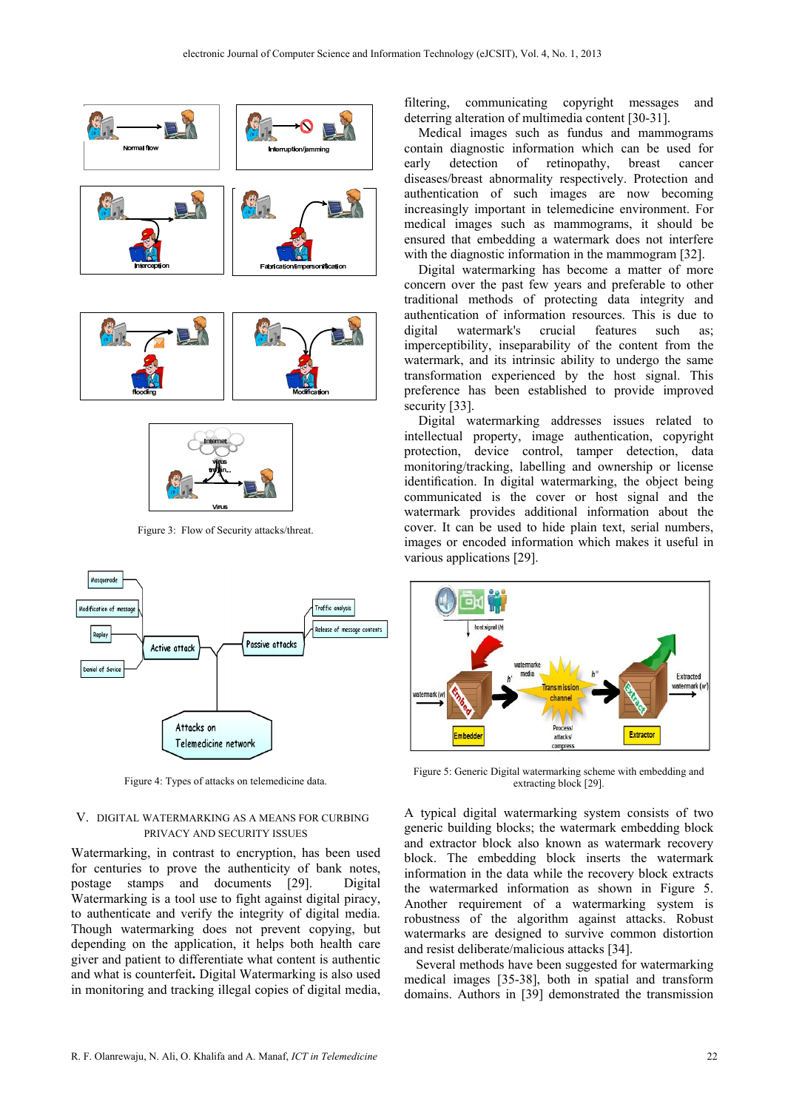



Figure 3: Flow of Security attacks/threat.



Figure 4: Types of attacks on telemedicine data.

### V. DIGITAL WATERMARKING AS A MEANS FOR CURBING PRIVACY AND SECURITY ISSUES

Watermarking, in contrast to encryption, has been used for centuries to prove the authenticity of bank notes, postage stamps and documents [29]. Digital Watermarking is a tool use to fight against digital piracy, to authenticate and verify the integrity of digital media. Though watermarking does not prevent copying, but depending on the application, it helps both health care giver and patient to differentiate what content is authentic and what is counterfeit**.** Digital Watermarking is also used in monitoring and tracking illegal copies of digital media,

filtering, communicating copyright messages and deterring alteration of multimedia content [30-31].

Medical images such as fundus and mammograms contain diagnostic information which can be used for early detection of retinopathy, breast cancer diseases/breast abnormality respectively. Protection and authentication of such images are now becoming increasingly important in telemedicine environment. For medical images such as mammograms, it should be ensured that embedding a watermark does not interfere with the diagnostic information in the mammogram [32].

Digital watermarking has become a matter of more concern over the past few years and preferable to other traditional methods of protecting data integrity and authentication of information resources. This is due to digital watermark's crucial features such as imperceptibility, inseparability of the content from the watermark, and its intrinsic ability to undergo the same transformation experienced by the host signal. This preference has been established to provide improved security [33].

Digital watermarking addresses issues related to intellectual property, image authentication, copyright protection, device control, tamper detection, data monitoring/tracking, labelling and ownership or license identification. In digital watermarking, the object being communicated is the cover or host signal and the watermark provides additional information about the cover. It can be used to hide plain text, serial numbers, images or encoded information which makes it useful in various applications [29].



Figure 5: Generic Digital watermarking scheme with embedding and extracting block [29].

A typical digital watermarking system consists of two generic building blocks; the watermark embedding block and extractor block also known as watermark recovery block. The embedding block inserts the watermark information in the data while the recovery block extracts the watermarked information as shown in Figure 5. Another requirement of a watermarking system is robustness of the algorithm against attacks. Robust watermarks are designed to survive common distortion and resist deliberate/malicious attacks [34].

Several methods have been suggested for watermarking medical images [35-38], both in spatial and transform domains. Authors in [39] demonstrated the transmission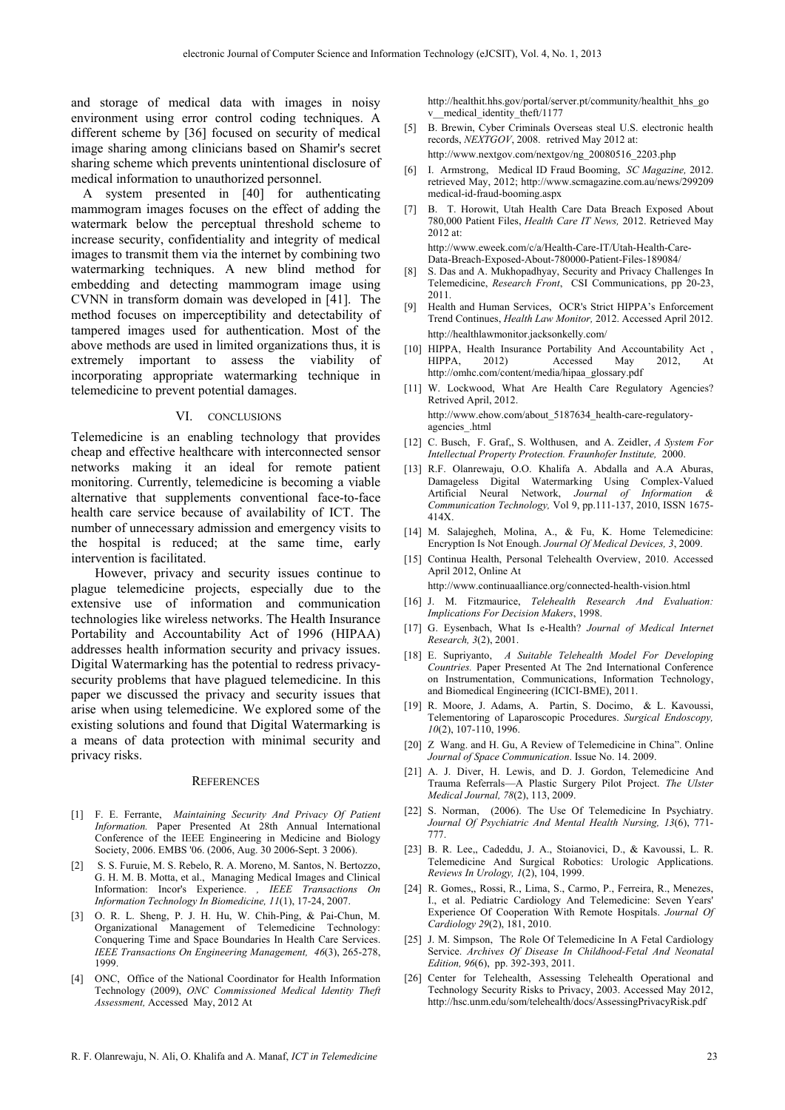and storage of medical data with images in noisy environment using error control coding techniques. A different scheme by [36] focused on security of medical image sharing among clinicians based on Shamir's secret sharing scheme which prevents unintentional disclosure of medical information to unauthorized personnel.

A system presented in [40] for authenticating mammogram images focuses on the effect of adding the watermark below the perceptual threshold scheme to increase security, confidentiality and integrity of medical images to transmit them via the internet by combining two watermarking techniques. A new blind method for embedding and detecting mammogram image using CVNN in transform domain was developed in [41]. The method focuses on imperceptibility and detectability of tampered images used for authentication. Most of the above methods are used in limited organizations thus, it is extremely important to assess the viability of incorporating appropriate watermarking technique in telemedicine to prevent potential damages.

#### VI. CONCLUSIONS

Telemedicine is an enabling technology that provides cheap and effective healthcare with interconnected sensor networks making it an ideal for remote patient monitoring. Currently, telemedicine is becoming a viable alternative that supplements conventional face-to-face health care service because of availability of ICT. The number of unnecessary admission and emergency visits to the hospital is reduced; at the same time, early intervention is facilitated.

However, privacy and security issues continue to plague telemedicine projects, especially due to the extensive use of information and communication technologies like wireless networks. The Health Insurance Portability and Accountability Act of 1996 (HIPAA) addresses health information security and privacy issues. Digital Watermarking has the potential to redress privacysecurity problems that have plagued telemedicine. In this paper we discussed the privacy and security issues that arise when using telemedicine. We explored some of the existing solutions and found that Digital Watermarking is a means of data protection with minimal security and privacy risks.

#### **REFERENCES**

- [1] F. E. Ferrante, *Maintaining Security And Privacy Of Patient Information.* Paper Presented At 28th Annual International Conference of the IEEE Engineering in Medicine and Biology Society, 2006. EMBS '06. (2006, Aug. 30 2006-Sept. 3 2006).
- [2] S. S. Furuie, M. S. Rebelo, R. A. Moreno, M. Santos, N. Bertozzo, G. H. M. B. Motta, et al., Managing Medical Images and Clinical Information: Incor's Experience. *, IEEE Transactions On Information Technology In Biomedicine, 11*(1), 17-24, 2007.
- [3] O. R. L. Sheng, P. J. H. Hu, W. Chih-Ping, & Pai-Chun, M. Organizational Management of Telemedicine Technology: Conquering Time and Space Boundaries In Health Care Services. *IEEE Transactions On Engineering Management, 46*(3), 265-278, 1999.
- [4] ONC, Office of the National Coordinator for Health Information Technology (2009), *ONC Commissioned Medical Identity Theft Assessment,* Accessed May, 2012 At

http://healthit.hhs.gov/portal/server.pt/community/healthit\_hhs\_go v\_\_medical\_identity\_theft/1177

- [5] B. Brewin, Cyber Criminals Overseas steal U.S. electronic health records, *NEXTGOV*, 2008. retrived May 2012 at: http://www.nextgov.com/nextgov/ng\_20080516\_2203.php
- [6] I. Armstrong, Medical ID Fraud Booming, *SC Magazine,* 2012. retrieved May, 2012; http://www.scmagazine.com.au/news/299209 medical-id-fraud-booming.aspx
- [7] B. T. Horowit, Utah Health Care Data Breach Exposed About 780,000 Patient Files, *Health Care IT News,* 2012. Retrieved May 2012 at: http://www.eweek.com/c/a/Health-Care-IT/Utah-Health-Care-

Data-Breach-Exposed-About-780000-Patient-Files-189084/ [8] S. Das and A. Mukhopadhyay, Security and Privacy Challenges In

- Telemedicine, *Research Front*, CSI Communications, pp 20-23, 2011.
- [9] Health and Human Services, OCR's Strict HIPPA's Enforcement Trend Continues, *Health Law Monitor,* 2012. Accessed April 2012. http://healthlawmonitor.jacksonkelly.com/
- [10] HIPPA, Health Insurance Portability And Accountability Act , HIPPA, 2012) Accessed May 2012, At http://omhc.com/content/media/hipaa\_glossary.pdf
- [11] W. Lockwood, What Are Health Care Regulatory Agencies? Retrived April, 2012. http://www.ehow.com/about\_5187634\_health-care-regulatoryagencies\_.html
- [12] C. Busch, F. Graf,, S. Wolthusen, and A. Zeidler, *A System For Intellectual Property Protection. Fraunhofer Institute,* 2000.
- [13] R.F. Olanrewaju, O.O. Khalifa A. Abdalla and A.A Aburas, Damageless Digital Watermarking Using Complex-Valued Artificial Neural Network, *Journal of Information & Communication Technology,* Vol 9, pp.111-137, 2010, ISSN 1675- 414X.
- [14] M. Salajegheh, Molina, A., & Fu, K. Home Telemedicine: Encryption Is Not Enough. *Journal Of Medical Devices, 3*, 2009.
- [15] Continua Health, Personal Telehealth Overview, 2010. Accessed April 2012, Online At

http://www.continuaalliance.org/connected-health-vision.html

- [16] J. M. Fitzmaurice, *Telehealth Research And Evaluation: Implications For Decision Makers*, 1998.
- [17] G. Eysenbach, What Is e-Health? *Journal of Medical Internet Research, 3*(2), 2001.
- [18] E. Supriyanto, *A Suitable Telehealth Model For Developing Countries.* Paper Presented At The 2nd International Conference on Instrumentation, Communications, Information Technology, and Biomedical Engineering (ICICI-BME), 2011.
- [19] R. Moore, J. Adams, A. Partin, S. Docimo, & L. Kavoussi, Telementoring of Laparoscopic Procedures. *Surgical Endoscopy, 10*(2), 107-110, 1996.
- [20] Z Wang. and H. Gu, A Review of Telemedicine in China". Online *Journal of Space Communication*. Issue No. 14. 2009.
- [21] A. J. Diver, H. Lewis, and D. J. Gordon, Telemedicine And Trauma Referrals—A Plastic Surgery Pilot Project. *The Ulster Medical Journal, 78*(2), 113, 2009.
- [22] S. Norman, (2006). The Use Of Telemedicine In Psychiatry. *Journal Of Psychiatric And Mental Health Nursing, 13*(6), 771- 777.
- [23] B. R. Lee,, Cadeddu, J. A., Stoianovici, D., & Kavoussi, L. R. Telemedicine And Surgical Robotics: Urologic Applications. *Reviews In Urology, 1*(2), 104, 1999.
- [24] R. Gomes,, Rossi, R., Lima, S., Carmo, P., Ferreira, R., Menezes, I., et al. Pediatric Cardiology And Telemedicine: Seven Years' Experience Of Cooperation With Remote Hospitals. *Journal Of Cardiology 29*(2), 181, 2010.
- [25] J. M. Simpson, The Role Of Telemedicine In A Fetal Cardiology Service. *Archives Of Disease In Childhood-Fetal And Neonatal Edition, 96*(6), pp. 392-393, 2011.
- [26] Center for Telehealth, Assessing Telehealth Operational and Technology Security Risks to Privacy, 2003. Accessed May 2012, http://hsc.unm.edu/som/telehealth/docs/AssessingPrivacyRisk.pdf